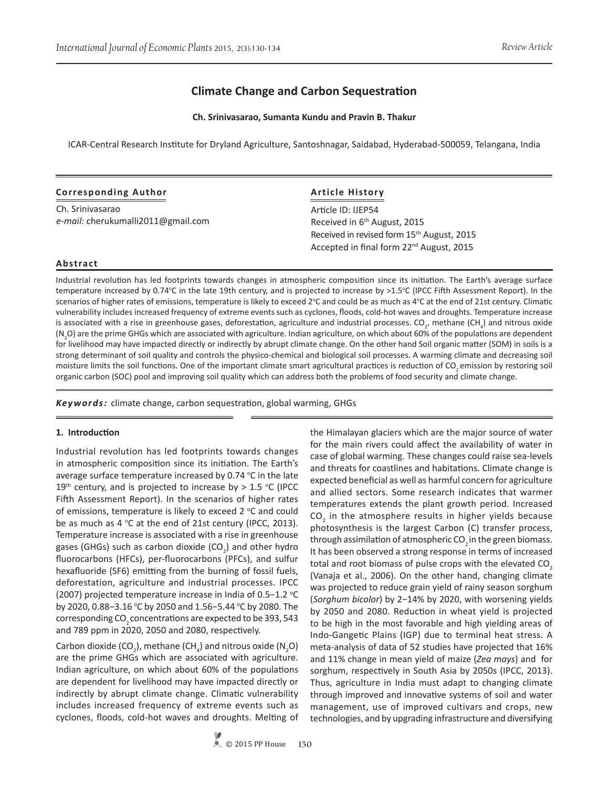# **Climate Change and Carbon Sequestration**

**Ch. Srinivasarao, Sumanta Kundu and Pravin B. Thakur**

ICAR-Central Research Institute for Dryland Agriculture, Santoshnagar, Saidabad, Hyderabad-500059, Telangana, India

#### **Corresponding Author**

Ch. Srinivasarao *e-mail:* cherukumalli2011@gmail.com

# **Article History**

Article ID: IJEP54 Received in 6th August, 2015 Received in revised form 15<sup>th</sup> August, 2015 Accepted in final form 22nd August, 2015

#### **Abstract**

Industrial revolution has led footprints towards changes in atmospheric composition since its initiation. The Earth's average surface temperature increased by 0.74°C in the late 19th century, and is projected to increase by >1.5°C (IPCC Fifth Assessment Report). In the scenarios of higher rates of emissions, temperature is likely to exceed 2°C and could be as much as 4°C at the end of 21st century. Climatic vulnerability includes increased frequency of extreme events such as cyclones, floods, cold-hot waves and droughts. Temperature increase is associated with a rise in greenhouse gases, deforestation, agriculture and industrial processes. CO<sub>2</sub>, methane (CH<sub>4</sub>) and nitrous oxide  $(N_2O)$  are the prime GHGs which are associated with agriculture. Indian agriculture, on which about 60% of the populations are dependent for livelihood may have impacted directly or indirectly by abrupt climate change. On the other hand Soil organic matter (SOM) in soils is a strong determinant of soil quality and controls the physico-chemical and biological soil processes. A warming climate and decreasing soil moisture limits the soil functions. One of the important climate smart agricultural practices is reduction of CO<sub>2</sub> emission by restoring soil organic carbon (SOC) pool and improving soil quality which can address both the problems of food security and climate change.

*Keywords:* climate change, carbon sequestration, global warming, GHGs

#### **1. Introduction**

Industrial revolution has led footprints towards changes in atmospheric composition since its initiation. The Earth's average surface temperature increased by  $0.74$  °C in the late 19<sup>th</sup> century, and is projected to increase by  $> 1.5$  °C (IPCC Fifth Assessment Report). In the scenarios of higher rates of emissions, temperature is likely to exceed 2 °C and could be as much as  $4 \text{ °C}$  at the end of 21st century (IPCC, 2013). Temperature increase is associated with a rise in greenhouse gases (GHGs) such as carbon dioxide (CO<sub>2</sub>) and other hydro fluorocarbons (HFCs), per-fluorocarbons (PFCs), and sulfur hexafluoride (SF6) emitting from the burning of fossil fuels, deforestation, agriculture and industrial processes. IPCC (2007) projected temperature increase in India of 0.5-1.2 °C by 2020, 0.88-3.16 °C by 2050 and 1.56-5.44 °C by 2080. The corresponding CO<sub>2</sub> concentrations are expected to be 393, 543 and 789 ppm in 2020, 2050 and 2080, respectively.

Carbon dioxide (CO<sub>2</sub>), methane (CH<sub>4</sub>) and nitrous oxide (N<sub>2</sub>O) are the prime GHGs which are associated with agriculture. Indian agriculture, on which about 60% of the populations are dependent for livelihood may have impacted directly or indirectly by abrupt climate change. Climatic vulnerability includes increased frequency of extreme events such as cyclones, floods, cold-hot waves and droughts. Melting of

© 2015 PP House **130**

the Himalayan glaciers which are the major source of water for the main rivers could affect the availability of water in case of global warming. These changes could raise sea-levels and threats for coastlines and habitations. Climate change is expected beneficial as well as harmful concern for agriculture and allied sectors. Some research indicates that warmer temperatures extends the plant growth period. Increased  $\textsf{CO}_2$  in the atmosphere results in higher yields because photosynthesis is the largest Carbon (C) transfer process, through assimilation of atmospheric  $CO<sub>2</sub>$  in the green biomass. It has been observed a strong response in terms of increased total and root biomass of pulse crops with the elevated CO<sub>2</sub> (Vanaja et al., 2006). On the other hand, changing climate was projected to reduce grain yield of rainy season sorghum (*Sorghum bicolor*) by 2−14% by 2020, with worsening yields by 2050 and 2080. Reduction in wheat yield is projected to be high in the most favorable and high yielding areas of Indo-Gangetic Plains (IGP) due to terminal heat stress. A meta-analysis of data of 52 studies have projected that 16% and 11% change in mean yield of maize (*Zea mays*) and for sorghum, respectively in South Asia by 2050s (IPCC, 2013). Thus, agriculture in India must adapt to changing climate through improved and innovative systems of soil and water management, use of improved cultivars and crops, new technologies, and by upgrading infrastructure and diversifying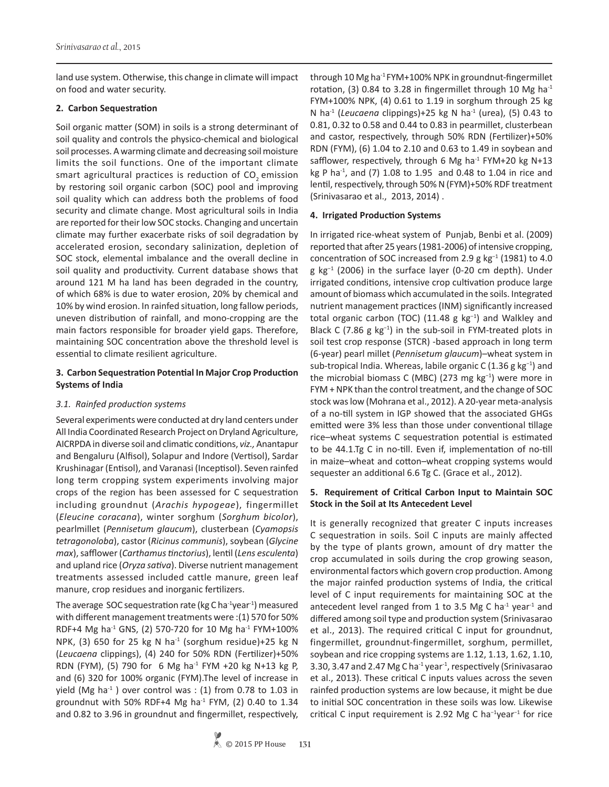land use system. Otherwise, this change in climate will impact on food and water security.

### **2. Carbon Sequestration**

Soil organic matter (SOM) in soils is a strong determinant of soil quality and controls the physico-chemical and biological soil processes. A warming climate and decreasing soil moisture limits the soil functions. One of the important climate smart agricultural practices is reduction of CO<sub>2</sub> emission by restoring soil organic carbon (SOC) pool and improving soil quality which can address both the problems of food security and climate change. Most agricultural soils in India are reported for their low SOC stocks. Changing and uncertain climate may further exacerbate risks of soil degradation by accelerated erosion, secondary salinization, depletion of SOC stock, elemental imbalance and the overall decline in soil quality and productivity. Current database shows that around 121 M ha land has been degraded in the country, of which 68% is due to water erosion, 20% by chemical and 10% by wind erosion. In rainfed situation, long fallow periods, uneven distribution of rainfall, and mono-cropping are the main factors responsible for broader yield gaps. Therefore, maintaining SOC concentration above the threshold level is essential to climate resilient agriculture.

# **3. Carbon Sequestration Potential In Major Crop Production Systems of India**

# *3.1. Rainfed production systems*

Several experiments were conducted at dry land centers under All India Coordinated Research Project on Dryland Agriculture, AICRPDA in diverse soil and climatic conditions, *viz.,* Anantapur and Bengaluru (Alfisol), Solapur and Indore (Vertisol), Sardar Krushinagar (Entisol), and Varanasi (Inceptisol). Seven rainfed long term cropping system experiments involving major crops of the region has been assessed for C sequestration including groundnut (*Arachis hypogeae*), fingermillet (*Eleucine coracana*), winter sorghum (*Sorghum bicolor*), pearlmillet (*Pennisetum glaucum*), clusterbean (*Cyamopsis tetragonoloba*), castor (*Ricinus communis*), soybean (*Glycine max*), safflower (*Carthamus tinctorius*), lentil (*Lens esculenta*) and upland rice (*Oryza sativa*). Diverse nutrient management treatments assessed included cattle manure, green leaf manure, crop residues and inorganic fertilizers.

The average SOC sequestration rate (kg C ha $^{-1}$ year $^{-1}$ ) measured with different management treatments were :(1) 570 for 50% RDF+4 Mg ha<sup>-1</sup> GNS, (2) 570-720 for 10 Mg ha<sup>-1</sup> FYM+100% NPK, (3) 650 for 25 kg N ha<sup>-1</sup> (sorghum residue)+25 kg N (*Leucaena* clippings), (4) 240 for 50% RDN (Fertilizer)+50% RDN (FYM), (5) 790 for 6 Mg ha<sup>-1</sup> FYM +20 kg N+13 kg P, and (6) 320 for 100% organic (FYM).The level of increase in yield (Mg ha<sup>-1</sup>) over control was : (1) from 0.78 to 1.03 in groundnut with 50% RDF+4 Mg ha<sup>-1</sup> FYM, (2) 0.40 to 1.34 and 0.82 to 3.96 in groundnut and fingermillet, respectively, through 10 Mg ha-1 FYM+100% NPK in groundnut-fingermillet rotation, (3) 0.84 to 3.28 in fingermillet through 10 Mg ha<sup>-1</sup> FYM+100% NPK, (4) 0.61 to 1.19 in sorghum through 25 kg N ha-1 (*Leucaena* clippings)+25 kg N ha-1 (urea), (5) 0.43 to 0.81, 0.32 to 0.58 and 0.44 to 0.83 in pearmillet, clusterbean and castor, respectively, through 50% RDN (Fertilizer)+50% RDN (FYM), (6) 1.04 to 2.10 and 0.63 to 1.49 in soybean and safflower, respectively, through 6 Mg ha $^{-1}$  FYM+20 kg N+13 kg P ha<sup>-1</sup>, and (7) 1.08 to 1.95 and 0.48 to 1.04 in rice and lentil, respectively, through 50% N (FYM)+50% RDF treatment (Srinivasarao et al., 2013, 2014) .

# **4. Irrigated Production Systems**

In irrigated rice-wheat system of Punjab, Benbi et al. (2009) reported that after 25 years (1981-2006) of intensive cropping, concentration of SOC increased from 2.9 g kg−1 (1981) to 4.0 g kg−1 (2006) in the surface layer (0-20 cm depth). Under irrigated conditions, intensive crop cultivation produce large amount of biomass which accumulated in the soils. Integrated nutrient management practices (INM) significantly increased total organic carbon (TOC) (11.48 g kg<sup>-1</sup>) and Walkley and Black C (7.86 g kg−1) in the sub-soil in FYM-treated plots in soil test crop response (STCR) -based approach in long term (6-year) pearl millet (*Pennisetum glaucum*)–wheat system in sub-tropical India. Whereas, labile organic C (1.36 g kg<sup>-1</sup>) and the microbial biomass C (MBC) (273 mg kg−1) were more in FYM + NPK than the control treatment, and the change of SOC stock was low (Mohrana et al., 2012). A 20-year meta-analysis of a no-till system in IGP showed that the associated GHGs emitted were 3% less than those under conventional tillage rice–wheat systems C sequestration potential is estimated to be 44.1.Tg C in no-till. Even if, implementation of no-till in maize–wheat and cotton–wheat cropping systems would sequester an additional 6.6 Tg C. (Grace et al., 2012).

### **5. Requirement of Critical Carbon Input to Maintain SOC Stock in the Soil at Its Antecedent Level**

It is generally recognized that greater C inputs increases C sequestration in soils. Soil C inputs are mainly affected by the type of plants grown, amount of dry matter the crop accumulated in soils during the crop growing season, environmental factors which govern crop production. Among the major rainfed production systems of India, the critical level of C input requirements for maintaining SOC at the antecedent level ranged from 1 to 3.5 Mg C ha $^{-1}$  year $^{-1}$  and differed among soil type and production system (Srinivasarao et al., 2013). The required critical C input for groundnut, fingermillet, groundnut-fingermillet, sorghum, permillet, soybean and rice cropping systems are 1.12, 1.13, 1.62, 1.10, 3.30, 3.47 and 2.47 Mg C ha<sup>-1</sup> year<sup>-1</sup>, respectively (Srinivasarao et al., 2013). These critical C inputs values across the seven rainfed production systems are low because, it might be due to initial SOC concentration in these soils was low. Likewise critical C input requirement is 2.92 Mg C ha−1year−1 for rice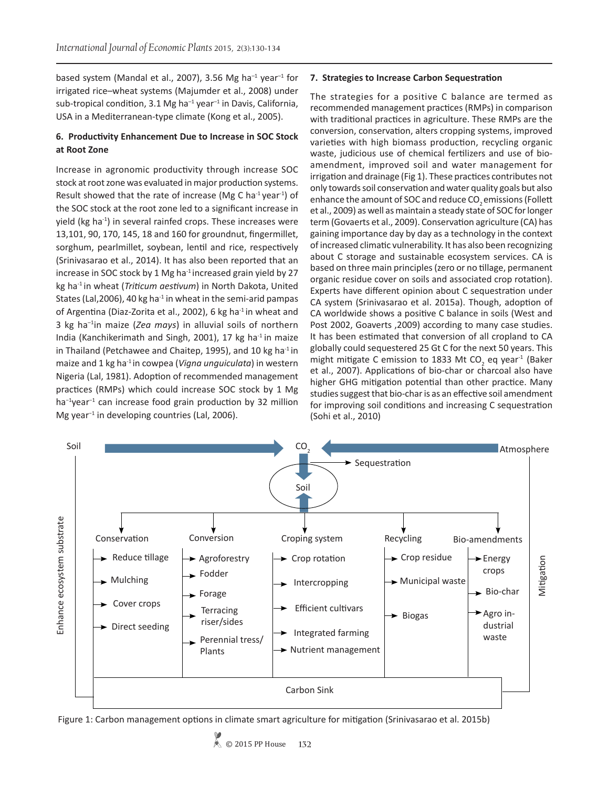based system (Mandal et al., 2007), 3.56 Mg ha<sup>-1</sup> year<sup>-1</sup> for irrigated rice–wheat systems (Majumder et al., 2008) under sub-tropical condition, 3.1 Mg ha<sup>-1</sup> year<sup>-1</sup> in Davis, California, USA in a Mediterranean-type climate (Kong et al., 2005).

# **6. Productivity Enhancement Due to Increase in SOC Stock at Root Zone**

Increase in agronomic productivity through increase SOC stock at root zone was evaluated in major production systems. Result showed that the rate of increase (Mg C ha $^{-1}$  year $^{-1}$ ) of the SOC stock at the root zone led to a significant increase in yield (kg ha<sup>-1</sup>) in several rainfed crops. These increases were 13,101, 90, 170, 145, 18 and 160 for groundnut, fingermillet, sorghum, pearlmillet, soybean, lentil and rice, respectively (Srinivasarao et al., 2014). It has also been reported that an increase in SOC stock by 1 Mg ha<sup>-1</sup> increased grain yield by 27 kg ha-1 in wheat (*Triticum aestivum*) in North Dakota, United States (Lal, 2006), 40 kg ha $^{-1}$  in wheat in the semi-arid pampas of Argentina (Diaz-Zorita et al., 2002), 6 kg ha<sup>-1</sup> in wheat and 3 kg ha–1in maize (*Zea mays*) in alluvial soils of northern India (Kanchikerimath and Singh, 2001), 17 kg ha-1 in maize in Thailand (Petchawee and Chaitep, 1995), and 10 kg ha $^{-1}$  in maize and 1 kg ha-1 in cowpea (*Vigna unguiculata*) in western Nigeria (Lal, 1981). Adoption of recommended management practices (RMPs) which could increase SOC stock by 1 Mg ha<sup>-1</sup>year<sup>-1</sup> can increase food grain production by 32 million Mg year−1 in developing countries (Lal, 2006).

#### **7. Strategies to Increase Carbon Sequestration**

The strategies for a positive C balance are termed as recommended management practices (RMPs) in comparison with traditional practices in agriculture. These RMPs are the conversion, conservation, alters cropping systems, improved varieties with high biomass production, recycling organic waste, judicious use of chemical fertilizers and use of bioamendment, improved soil and water management for irrigation and drainage (Fig 1). These practices contributes not only towards soil conservation and water quality goals but also enhance the amount of SOC and reduce CO<sub>2</sub> emissions (Follett et al., 2009) as well as maintain a steady state of SOC for longer term (Govaerts et al., 2009). Conservation agriculture (CA) has gaining importance day by day as a technology in the context of increased climatic vulnerability. It has also been recognizing about C storage and sustainable ecosystem services. CA is based on three main principles (zero or no tillage, permanent organic residue cover on soils and associated crop rotation). Experts have different opinion about C sequestration under CA system (Srinivasarao et al. 2015a). Though, adoption of CA worldwide shows a positive C balance in soils (West and Post 2002, Goaverts ,2009) according to many case studies. It has been estimated that conversion of all cropland to CA globally could sequestered 25 Gt C for the next 50 years. This might mitigate C emission to 1833 Mt CO<sub>2</sub> eq year<sup>-1</sup> (Baker et al., 2007). Applications of bio-char or charcoal also have higher GHG mitigation potential than other practice. Many studies suggest that bio-char is as an effective soil amendment for improving soil conditions and increasing C sequestration (Sohi et al., 2010)



Figure 1: Carbon management options in climate smart agriculture for mitigation (Srinivasarao et al. 2015b)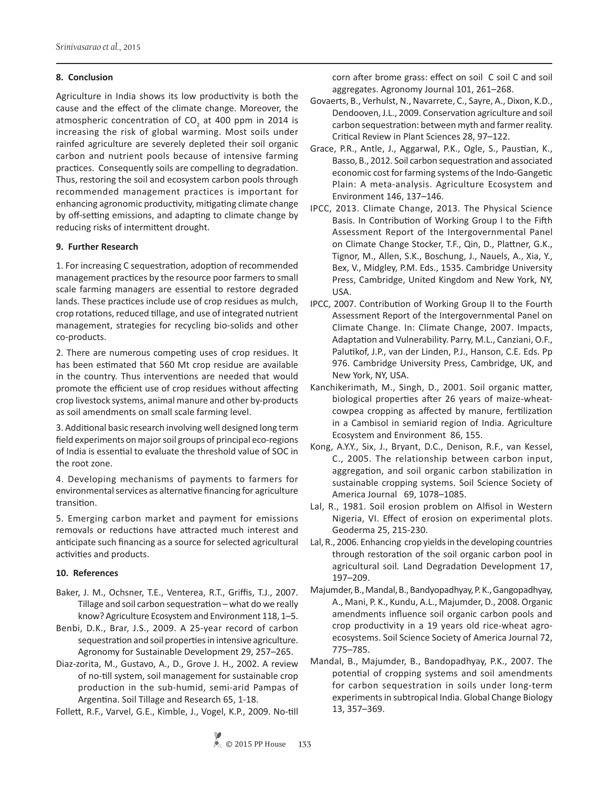### **8. Conclusion**

Agriculture in India shows its low productivity is both the cause and the effect of the climate change. Moreover, the atmospheric concentration of  $CO_2$  at 400 ppm in 2014 is increasing the risk of global warming. Most soils under rainfed agriculture are severely depleted their soil organic carbon and nutrient pools because of intensive farming practices. Consequently soils are compelling to degradation. Thus, restoring the soil and ecosystem carbon pools through recommended management practices is important for enhancing agronomic productivity, mitigating climate change by off-setting emissions, and adapting to climate change by reducing risks of intermittent drought.

# **9. Further Research**

1. For increasing C sequestration, adoption of recommended management practices by the resource poor farmers to small scale farming managers are essential to restore degraded lands. These practices include use of crop residues as mulch, crop rotations, reduced tillage, and use of integrated nutrient management, strategies for recycling bio-solids and other co-products.

2. There are numerous competing uses of crop residues. It has been estimated that 560 Mt crop residue are available in the country. Thus interventions are needed that would promote the efficient use of crop residues without affecting crop livestock systems, animal manure and other by-products as soil amendments on small scale farming level.

3. Additional basic research involving well designed long term field experiments on major soil groups of principal eco-regions of India is essential to evaluate the threshold value of SOC in the root zone.

4. Developing mechanisms of payments to farmers for environmental services as alternative financing for agriculture transition.

5. Emerging carbon market and payment for emissions removals or reductions have attracted much interest and anticipate such financing as a source for selected agricultural activities and products.

#### **10. References**

- Baker, J. M., Ochsner, T.E., Venterea, R.T., Griffis, T.J., 2007. Tillage and soil carbon sequestration – what do we really know? Agriculture Ecosystem and Environment 118, 1–5.
- Benbi, D.K., Brar, J.S., 2009. A 25-year record of carbon sequestration and soil properties in intensive agriculture. Agronomy for Sustainable Development 29, 257–265.
- Diaz-zorita, M., Gustavo, A., D., Grove J. H., 2002. A review of no-till system, soil management for sustainable crop production in the sub-humid, semi-arid Pampas of Argentina. Soil Tillage and Research 65, 1-18.

Follett, R.F., Varvel, G.E., Kimble, J., Vogel, K.P., 2009. No-till

corn after brome grass: effect on soil C soil C and soil aggregates. Agronomy Journal 101, 261–268.

- Govaerts, B., Verhulst, N., Navarrete, C., Sayre, A., Dixon, K.D., Dendooven, J.L., 2009. Conservation agriculture and soil carbon sequestration: between myth and farmer reality. Critical Review in Plant Sciences 28, 97–122.
- Grace, P.R., Antle, J., Aggarwal, P.K., Ogle, S., Paustian, K., Basso, B., 2012. Soil carbon sequestration and associated economic cost for farming systems of the Indo-Gangetic Plain: A meta-analysis. Agriculture Ecosystem and Environment 146, 137–146.
- IPCC, 2013. Climate Change, 2013. The Physical Science Basis. In Contribution of Working Group I to the Fifth Assessment Report of the Intergovernmental Panel on Climate Change Stocker, T.F., Qin, D., Plattner, G.K., Tignor, M., Allen, S.K., Boschung, J., Nauels, A., Xia, Y., Bex, V., Midgley, P.M. Eds., 1535. Cambridge University Press, Cambridge, United Kingdom and New York, NY, USA.
- IPCC, 2007. Contribution of Working Group II to the Fourth Assessment Report of the Intergovernmental Panel on Climate Change. In: Climate Change, 2007. Impacts, Adaptation and Vulnerability. Parry, M.L., Canziani, O.F., Palutikof, J.P., van der Linden, P.J., Hanson, C.E. Eds. Pp 976. Cambridge University Press, Cambridge, UK, and New York, NY, USA.
- Kanchikerimath, M., Singh, D., 2001. Soil organic matter, biological properties after 26 years of maize-wheatcowpea cropping as affected by manure, fertilization in a Cambisol in semiarid region of India. Agriculture Ecosystem and Environment 86, 155.
- Kong, A.Y.Y., Six, J., Bryant, D.C., Denison, R.F., van Kessel, C., 2005. The relationship between carbon input, aggregation, and soil organic carbon stabilization in sustainable cropping systems. Soil Science Society of America Journal 69, 1078–1085.
- Lal, R., 1981. Soil erosion problem on Alfisol in Western Nigeria, VI. Effect of erosion on experimental plots. Geoderma 25, 215-230.
- Lal, R., 2006. Enhancing crop yields in the developing countries through restoration of the soil organic carbon pool in agricultural soil*.* Land Degradation Development 17, 197–209.
- Majumder, B., Mandal, B., Bandyopadhyay, P. K., Gangopadhyay, A., Mani, P. K., Kundu, A.L., Majumder, D., 2008. Organic amendments influence soil organic carbon pools and crop productivity in a 19 years old rice-wheat agroecosystems. Soil Science Society of America Journal 72, 775–785.
- Mandal, B., Majumder, B., Bandopadhyay, P.K., 2007. The potential of cropping systems and soil amendments for carbon sequestration in soils under long-term experiments in subtropical India. Global Change Biology 13, 357–369.